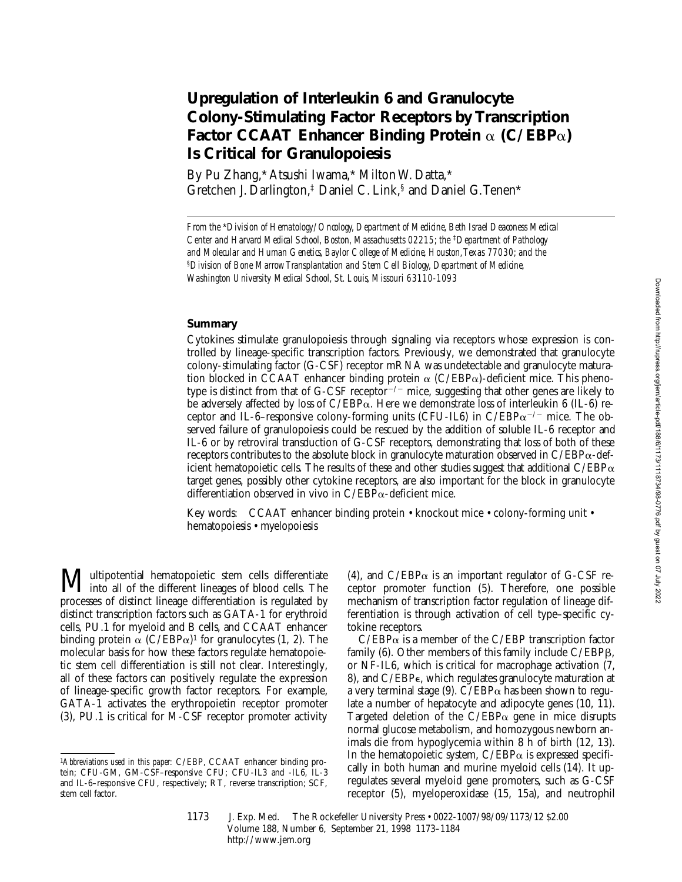### **Upregulation of Interleukin 6 and Granulocyte Colony-Stimulating Factor Receptors by Transcription Factor CCAAT Enhancer Binding Protein**  $\alpha$  (C/EBP $\alpha$ ) **Is Critical for Granulopoiesis**

By Pu Zhang,\* Atsushi Iwama,\* Milton W. Datta,\* Gretchen J. Darlington,‡ Daniel C. Link,§ and Daniel G. Tenen\*

*From the* \**Division of Hematology/Oncology, Department of Medicine, Beth Israel Deaconess Medical Center and Harvard Medical School, Boston, Massachusetts 02215; the* ‡*Department of Pathology and Molecular and Human Genetics, Baylor College of Medicine, Houston, Texas 77030; and the*  §*Division of Bone Marrow Transplantation and Stem Cell Biology, Department of Medicine, Washington University Medical School, St. Louis, Missouri 63110-1093*

### **Summary**

Cytokines stimulate granulopoiesis through signaling via receptors whose expression is controlled by lineage-specific transcription factors. Previously, we demonstrated that granulocyte colony-stimulating factor (G-CSF) receptor mRNA was undetectable and granulocyte maturation blocked in CCAAT enhancer binding protein  $\alpha$  (C/EBP $\alpha$ )-deficient mice. This phenotype is distinct from that of  $G$ -CSF receptor<sup>-/-</sup> mice, suggesting that other genes are likely to be adversely affected by loss of  $C/EBP\alpha$ . Here we demonstrate loss of interleukin 6 (IL-6) receptor and IL-6–responsive colony-forming units (CFU-IL6) in  $C/EBP\alpha^{-/-}$  mice. The observed failure of granulopoiesis could be rescued by the addition of soluble IL-6 receptor and IL-6 or by retroviral transduction of G-CSF receptors, demonstrating that loss of both of these receptors contributes to the absolute block in granulocyte maturation observed in  $C/EBP\alpha$ -deficient hematopoietic cells. The results of these and other studies suggest that additional  $C/EBP\alpha$ target genes, possibly other cytokine receptors, are also important for the block in granulocyte differentiation observed in vivo in  $C/EBP\alpha$ -deficient mice.

Key words: CCAAT enhancer binding protein • knockout mice • colony-forming unit • hematopoiesis • myelopoiesis

**Multipotential hematopoietic stem cells differentiate**<br>into all of the different lineages of blood cells. The processes of distinct lineage differentiation is regulated by distinct transcription factors such as GATA-1 for erythroid cells, PU.1 for myeloid and B cells, and CCAAT enhancer binding protein  $\alpha$  (C/EBP $\alpha$ )<sup>1</sup> for granulocytes (1, 2). The molecular basis for how these factors regulate hematopoietic stem cell differentiation is still not clear. Interestingly, all of these factors can positively regulate the expression of lineage-specific growth factor receptors. For example, GATA-1 activates the erythropoietin receptor promoter (3), PU.1 is critical for M-CSF receptor promoter activity

(4), and  $C/EBP\alpha$  is an important regulator of G-CSF receptor promoter function (5). Therefore, one possible mechanism of transcription factor regulation of lineage differentiation is through activation of cell type–specific cytokine receptors.

 $C/EBP\alpha$  is a member of the C/EBP transcription factor family  $(6)$ . Other members of this family include  $C/EBP\beta$ , or NF-IL6, which is critical for macrophage activation (7, 8), and C/EBPe, which regulates granulocyte maturation at a very terminal stage (9).  $C/EBP\alpha$  has been shown to regulate a number of hepatocyte and adipocyte genes (10, 11). Targeted deletion of the  $C/EBP\alpha$  gene in mice disrupts normal glucose metabolism, and homozygous newborn animals die from hypoglycemia within 8 h of birth (12, 13). In the hematopoietic system,  $C/EBP\alpha$  is expressed specifically in both human and murine myeloid cells (14). It upregulates several myeloid gene promoters, such as G-CSF receptor (5), myeloperoxidase (15, 15a), and neutrophil

1173 J. Exp. Med. The Rockefeller University Press • 0022-1007/98/09/1173/12 \$2.00 Volume 188, Number 6, September 21, 1998 1173–1184 http://www.jem.org

<sup>1</sup>*Abbreviations used in this paper:* C/EBP, CCAAT enhancer binding protein; CFU-GM, GM-CSF–responsive CFU; CFU-IL3 and -IL6, IL-3 and IL-6–responsive CFU, respectively; RT, reverse transcription; SCF, stem cell factor.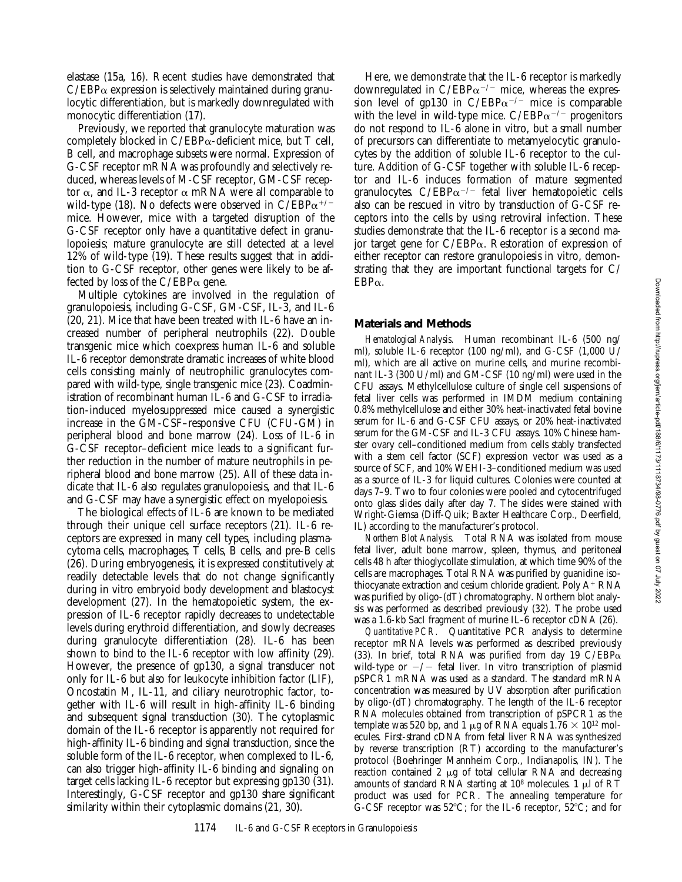elastase (15a, 16). Recent studies have demonstrated that  $C/EBP\alpha$  expression is selectively maintained during granulocytic differentiation, but is markedly downregulated with monocytic differentiation (17).

Previously, we reported that granulocyte maturation was completely blocked in  $C/EBP\alpha$ -deficient mice, but T cell, B cell, and macrophage subsets were normal. Expression of G-CSF receptor mRNA was profoundly and selectively reduced, whereas levels of M-CSF receptor, GM-CSF receptor  $\alpha$ , and IL-3 receptor  $\alpha$  mRNA were all comparable to wild-type (18). No defects were observed in  $C/EBP\alpha^{+/-}$ mice. However, mice with a targeted disruption of the G-CSF receptor only have a quantitative defect in granulopoiesis; mature granulocyte are still detected at a level 12% of wild-type (19). These results suggest that in addition to G-CSF receptor, other genes were likely to be affected by loss of the  $C/EBP\alpha$  gene.

Multiple cytokines are involved in the regulation of granulopoiesis, including G-CSF, GM-CSF, IL-3, and IL-6 (20, 21). Mice that have been treated with IL-6 have an increased number of peripheral neutrophils (22). Double transgenic mice which coexpress human IL-6 and soluble IL-6 receptor demonstrate dramatic increases of white blood cells consisting mainly of neutrophilic granulocytes compared with wild-type, single transgenic mice (23). Coadministration of recombinant human IL-6 and G-CSF to irradiation-induced myelosuppressed mice caused a synergistic increase in the GM-CSF–responsive CFU (CFU-GM) in peripheral blood and bone marrow (24). Loss of IL-6 in G-CSF receptor–deficient mice leads to a significant further reduction in the number of mature neutrophils in peripheral blood and bone marrow (25). All of these data indicate that IL-6 also regulates granulopoiesis, and that IL-6 and G-CSF may have a synergistic effect on myelopoiesis.

The biological effects of IL-6 are known to be mediated through their unique cell surface receptors (21). IL-6 receptors are expressed in many cell types, including plasmacytoma cells, macrophages, T cells, B cells, and pre-B cells (26). During embryogenesis, it is expressed constitutively at readily detectable levels that do not change significantly during in vitro embryoid body development and blastocyst development (27). In the hematopoietic system, the expression of IL-6 receptor rapidly decreases to undetectable levels during erythroid differentiation, and slowly decreases during granulocyte differentiation (28). IL-6 has been shown to bind to the IL-6 receptor with low affinity (29). However, the presence of gp130, a signal transducer not only for IL-6 but also for leukocyte inhibition factor (LIF), Oncostatin M, IL-11, and ciliary neurotrophic factor, together with IL-6 will result in high-affinity IL-6 binding and subsequent signal transduction (30). The cytoplasmic domain of the IL-6 receptor is apparently not required for high-affinity IL-6 binding and signal transduction, since the soluble form of the IL-6 receptor, when complexed to IL-6, can also trigger high-affinity IL-6 binding and signaling on target cells lacking IL-6 receptor but expressing gp130 (31). Interestingly, G-CSF receptor and gp130 share significant similarity within their cytoplasmic domains (21, 30).

Here, we demonstrate that the IL-6 receptor is markedly downregulated in  $C/EBP\alpha^{-/-}$  mice, whereas the expression level of gp130 in  $C/EBP\alpha^{-/-}$  mice is comparable with the level in wild-type mice.  $C/EBP\alpha^{-/-}$  progenitors do not respond to IL-6 alone in vitro, but a small number of precursors can differentiate to metamyelocytic granulocytes by the addition of soluble IL-6 receptor to the culture. Addition of G-CSF together with soluble IL-6 receptor and IL-6 induces formation of mature segmented granulocytes.  $C/EBP\alpha^{-/-}$  fetal liver hematopoietic cells also can be rescued in vitro by transduction of G-CSF receptors into the cells by using retroviral infection. These studies demonstrate that the IL-6 receptor is a second major target gene for  $C/EBP\alpha$ . Restoration of expression of either receptor can restore granulopoiesis in vitro, demonstrating that they are important functional targets for C/  $EBP\alpha$ .

#### **Materials and Methods**

*Hematological Analysis.* Human recombinant IL-6 (500 ng/ ml), soluble IL-6 receptor (100 ng/ml), and G-CSF (1,000 U/ ml), which are all active on murine cells, and murine recombinant IL-3 (300 U/ml) and GM-CSF (10 ng/ml) were used in the CFU assays. Methylcellulose culture of single cell suspensions of fetal liver cells was performed in IMDM medium containing 0.8% methylcellulose and either 30% heat-inactivated fetal bovine serum for IL-6 and G-CSF CFU assays, or 20% heat-inactivated serum for the GM-CSF and IL-3 CFU assays. 10% Chinese hamster ovary cell–conditioned medium from cells stably transfected with a stem cell factor (SCF) expression vector was used as a source of SCF, and 10% WEHI-3–conditioned medium was used as a source of IL-3 for liquid cultures. Colonies were counted at days 7–9. Two to four colonies were pooled and cytocentrifuged onto glass slides daily after day 7. The slides were stained with Wright-Giemsa (Diff-Quik; Baxter Healthcare Corp., Deerfield, IL) according to the manufacturer's protocol.

*Northern Blot Analysis.* Total RNA was isolated from mouse fetal liver, adult bone marrow, spleen, thymus, and peritoneal cells 48 h after thioglycollate stimulation, at which time 90% of the cells are macrophages. Total RNA was purified by guanidine isothiocyanate extraction and cesium chloride gradient. Poly  $A^+$  RNA was purified by oligo-(dT) chromatography. Northern blot analysis was performed as described previously (32). The probe used was a 1.6-kb SacI fragment of murine IL-6 receptor cDNA (26).

*Quantitative PCR.* Quantitative PCR analysis to determine receptor mRNA levels was performed as described previously (33). In brief, total RNA was purified from day 19  $C/EBP\alpha$ wild-type or  $-\prime$  fetal liver. In vitro transcription of plasmid pSPCR1 mRNA was used as a standard. The standard mRNA concentration was measured by UV absorption after purification by oligo-(dT) chromatography. The length of the IL-6 receptor RNA molecules obtained from transcription of pSPCR1 as the template was 520 bp, and 1  $\mu$ g of RNA equals 1.76  $\times$  10<sup>12</sup> molecules. First-strand cDNA from fetal liver RNA was synthesized by reverse transcription (RT) according to the manufacturer's protocol (Boehringer Mannheim Corp., Indianapolis, IN). The reaction contained 2  $\mu$ g of total cellular RNA and decreasing amounts of standard RNA starting at  $10^8$  molecules. 1  $\mu$ l of RT product was used for PCR. The annealing temperature for G-CSF receptor was  $52^{\circ}$ C; for the IL-6 receptor,  $52^{\circ}$ C; and for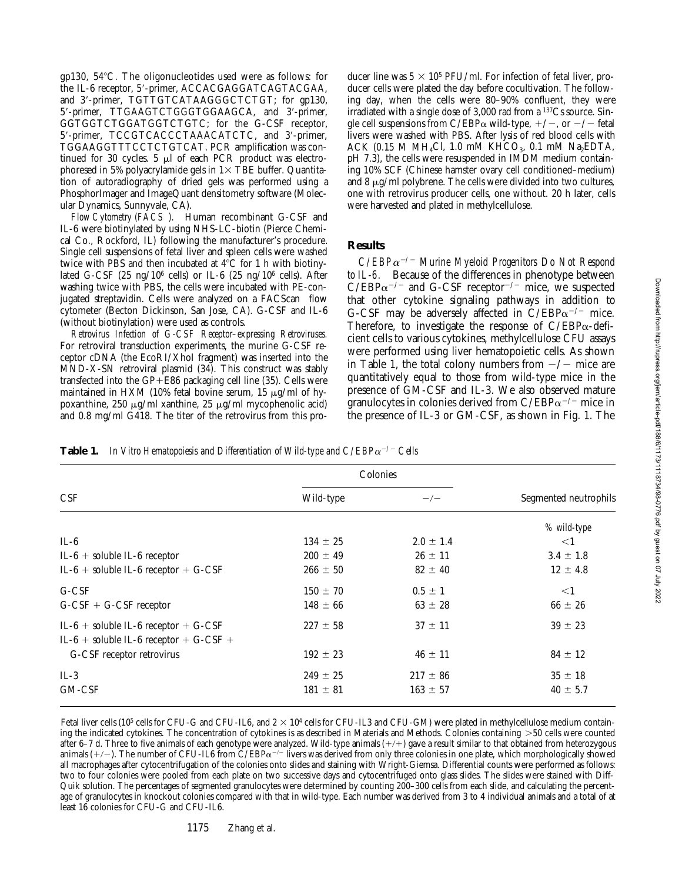gp130,  $54^{\circ}$ C. The oligonucleotides used were as follows: for the IL-6 receptor, 5'-primer, ACCACGAGGATCAGTACGAA, and 3'-primer, TGTTGTCATAAGGGCTCTGT; for gp130, 5'-primer, TTGAAGTCTGGGTGGAAGCA, and 3'-primer, GGTGGTCTGGATGGTCTGTC; for the G-CSF receptor, 5'-primer, TCCGTCACCCTAAACATCTC, and 3'-primer, TGGAAGGTTTCCTCTGTCAT. PCR amplification was continued for 30 cycles.  $5 \mu l$  of each PCR product was electrophoresed in 5% polyacrylamide gels in  $1\times$  TBE buffer. Quantitation of autoradiography of dried gels was performed using a PhosphorImager and ImageQuant densitometry software (Molecular Dynamics, Sunnyvale, CA).

*Flow Cytometry (FACS).* Human recombinant G-CSF and IL-6 were biotinylated by using NHS-LC-biotin (Pierce Chemical Co., Rockford, IL) following the manufacturer's procedure. Single cell suspensions of fetal liver and spleen cells were washed twice with PBS and then incubated at  $4^{\circ}$ C for 1 h with biotinylated G-CSF (25 ng/10<sup>6</sup> cells) or IL-6 (25 ng/10<sup>6</sup> cells). After washing twice with PBS, the cells were incubated with PE-conjugated streptavidin. Cells were analyzed on a FACScan<sup>®</sup> flow cytometer (Becton Dickinson, San Jose, CA). G-CSF and IL-6 (without biotinylation) were used as controls.

*Retrovirus Infection of G-CSF Receptor–expressing Retroviruses.* For retroviral transduction experiments, the murine G-CSF receptor cDNA (the EcoRI/XhoI fragment) was inserted into the MND-X-SN retroviral plasmid (34). This construct was stably transfected into the  $GP + E86$  packaging cell line (35). Cells were maintained in HXM (10% fetal bovine serum, 15  $\mu$ g/ml of hypoxanthine, 250  $\mu$ g/ml xanthine, 25  $\mu$ g/ml mycophenolic acid) and 0.8 mg/ml G418. The titer of the retrovirus from this producer line was  $5 \times 10^5$  PFU/ml. For infection of fetal liver, producer cells were plated the day before cocultivation. The following day, when the cells were 80–90% confluent, they were irradiated with a single dose of 3,000 rad from a 137Cs source. Single cell suspensions from C/EBP $\alpha$  wild-type,  $+/-$ , or  $-/-$  fetal livers were washed with PBS. After lysis of red blood cells with ACK (0.15 M MH<sub>4</sub>Cl, 1.0 mM KHCO<sub>3</sub>, 0.1 mM Na<sub>2</sub>EDTA, pH 7.3), the cells were resuspended in IMDM medium containing 10% SCF (Chinese hamster ovary cell conditioned–medium) and 8  $\mu$ g/ml polybrene. The cells were divided into two cultures, one with retrovirus producer cells, one without. 20 h later, cells were harvested and plated in methylcellulose.

### **Results**

*C/EBP*a<sup>2</sup>*/*2 *Murine Myeloid Progenitors Do Not Respond to IL-6.* Because of the differences in phenotype between  $C/EBP\alpha^{-/-}$  and G-CSF receptor<sup>-/-</sup> mice, we suspected that other cytokine signaling pathways in addition to G-CSF may be adversely affected in  $C/EBP\alpha^{-/-}$  mice. Therefore, to investigate the response of  $C/EBP\alpha$ -deficient cells to various cytokines, methylcellulose CFU assays were performed using liver hematopoietic cells. As shown in Table 1, the total colony numbers from  $-\prime$  mice are quantitatively equal to those from wild-type mice in the presence of GM-CSF and IL-3. We also observed mature granulocytes in colonies derived from  $C/EBP\alpha^{-/-}$  mice in the presence of IL-3 or GM-CSF, as shown in Fig. 1. The

**Table 1.** In Vitro Hematopoiesis and Differentiation of Wild-type and  $C/EBP\alpha^{-/-}$  Cells

| Colonies     |               |                       |  |
|--------------|---------------|-----------------------|--|
| Wild-type    | $-\prime -$   | Segmented neutrophils |  |
|              |               | % wild-type           |  |
| $134 \pm 25$ | $2.0 \pm 1.4$ | $<$ 1                 |  |
| $200 \pm 49$ | $26 \pm 11$   | $3.4 \pm 1.8$         |  |
| $266 \pm 50$ | $82 \pm 40$   | $12 \pm 4.8$          |  |
| $150 \pm 70$ | $0.5 \pm 1$   | $<$ 1                 |  |
| $148 \pm 66$ | $63 \pm 28$   | $66 \pm 26$           |  |
| $227 \pm 58$ | $37 \pm 11$   | $39 \pm 23$           |  |
| $192 \pm 23$ | $46 \pm 11$   | $84 \pm 12$           |  |
| $249 \pm 25$ | $217 \pm 86$  | $35 \pm 18$           |  |
| $181 \pm 81$ | $163 \pm 57$  | $40 \pm 5.7$          |  |
|              |               |                       |  |

Fetal liver cells (10<sup>5</sup> cells for CFU-G and CFU-IL6, and  $2 \times 10^4$  cells for CFU-IL3 and CFU-GM) were plated in methylcellulose medium containing the indicated cytokines. The concentration of cytokines is as described in Materials and Methods. Colonies containing  $>50$  cells were counted after 6–7 d. Three to five animals of each genotype were analyzed. Wild-type animals  $(+/+)$  gave a result similar to that obtained from heterozygous animals  $(+/-)$ . The number of CFU-IL6 from C/EBP $\alpha$ <sup>-/-</sup> livers was derived from only three colonies in one plate, which morphologically showed all macrophages after cytocentrifugation of the colonies onto slides and staining with Wright-Giemsa. Differential counts were performed as follows: two to four colonies were pooled from each plate on two successive days and cytocentrifuged onto glass slides. The slides were stained with Diff-Quik solution. The percentages of segmented granulocytes were determined by counting 200–300 cells from each slide, and calculating the percentage of granulocytes in knockout colonies compared with that in wild-type. Each number was derived from 3 to 4 individual animals and a total of at least 16 colonies for CFU-G and CFU-IL6.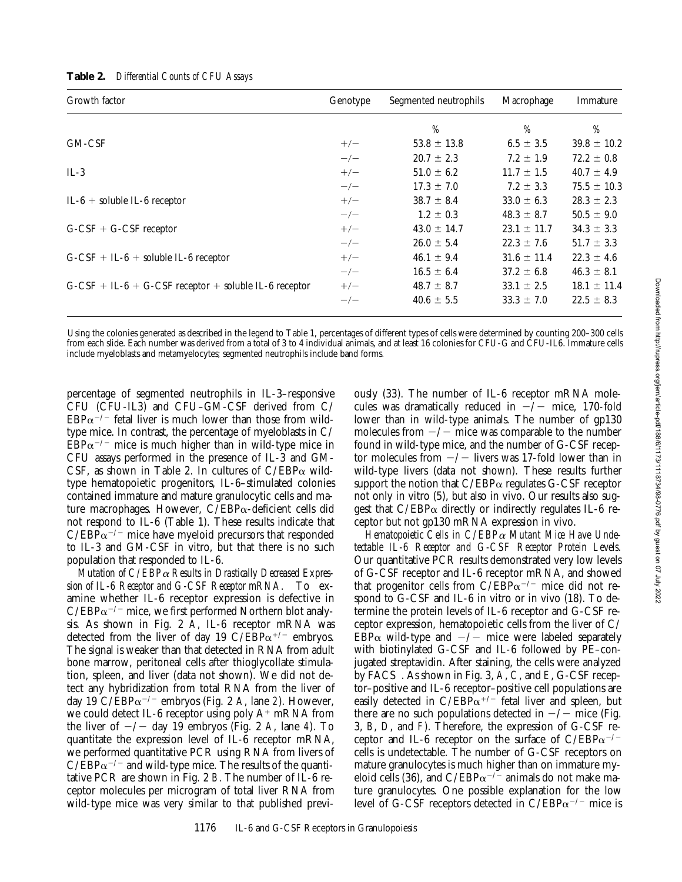| Growth factor                                           | Genotype | Segmented neutrophils | Macrophage      | Immature        |
|---------------------------------------------------------|----------|-----------------------|-----------------|-----------------|
|                                                         |          | %                     | %               | %               |
| GM-CSF                                                  | $+/-$    | $53.8 \pm 13.8$       | $6.5 \pm 3.5$   | $39.8 \pm 10.2$ |
|                                                         | $-/-$    | $20.7 \pm 2.3$        | $7.2 \pm 1.9$   | $72.2 \pm 0.8$  |
| $IL-3$                                                  | $+/-$    | $51.0 \pm 6.2$        | $11.7 \pm 1.5$  | $40.7 \pm 4.9$  |
|                                                         | $-/-$    | $17.3 \pm 7.0$        | $7.2 \pm 3.3$   | $75.5 \pm 10.3$ |
| $IL-6 + soluble IL-6 receptor$                          | $+/-$    | $38.7 \pm 8.4$        | $33.0 \pm 6.3$  | $28.3 \pm 2.3$  |
|                                                         | $-/-$    | $1.2 \pm 0.3$         | $48.3 \pm 8.7$  | $50.5 \pm 9.0$  |
| $G-CSF + G-CSF$ receptor                                | $+/-$    | $43.0 \pm 14.7$       | $23.1 \pm 11.7$ | $34.3 \pm 3.3$  |
|                                                         | $-/-$    | $26.0 \pm 5.4$        | $22.3 \pm 7.6$  | $51.7 \pm 3.3$  |
| $G-CSF + IL-6 + soluble IL-6 receptor$                  | $+/-$    | $46.1 \pm 9.4$        | $31.6 \pm 11.4$ | $22.3 \pm 4.6$  |
|                                                         | $-/-$    | $16.5 \pm 6.4$        | $37.2 \pm 6.8$  | $46.3 \pm 8.1$  |
| $G-CSF + IL-6 + G-CSF$ receptor + soluble IL-6 receptor | $+/-$    | $48.7 \pm 8.7$        | $33.1 \pm 2.5$  | $18.1 \pm 11.4$ |
|                                                         | $-/-$    | $40.6 \pm 5.5$        | $33.3 \pm 7.0$  | $22.5 \pm 8.3$  |

**Table 2.** *Differential Counts of CFU Assays*

Using the colonies generated as described in the legend to Table 1, percentages of different types of cells were determined by counting 200–300 cells from each slide. Each number was derived from a total of 3 to 4 individual animals, and at least 16 colonies for CFU-G and CFU-IL6. Immature cells include myeloblasts and metamyelocytes; segmented neutrophils include band forms.

percentage of segmented neutrophils in IL-3–responsive CFU (CFU-IL3) and CFU–GM-CSF derived from C/  $EBP\alpha^{-/-}$  fetal liver is much lower than those from wildtype mice. In contrast, the percentage of myeloblasts in C/  $EBP\alpha^{-/-}$  mice is much higher than in wild-type mice in CFU assays performed in the presence of IL-3 and GM-CSF, as shown in Table 2. In cultures of  $C/EBP\alpha$  wildtype hematopoietic progenitors, IL-6–stimulated colonies contained immature and mature granulocytic cells and mature macrophages. However,  $C/EBP\alpha$ -deficient cells did not respond to IL-6 (Table 1). These results indicate that  $C/EBP\alpha^{-/-}$  mice have myeloid precursors that responded to IL-3 and GM-CSF in vitro, but that there is no such population that responded to IL-6.

*Mutation of C/EBP*a *Results in Drastically Decreased Expression of IL-6 Receptor and G-CSF Receptor mRNA.* To examine whether IL-6 receptor expression is defective in  $C/EBP\alpha^{-/-}$  mice, we first performed Northern blot analysis. As shown in Fig. 2 *A*, IL-6 receptor mRNA was detected from the liver of day 19 C/EBP $\alpha^{+/-}$  embryos. The signal is weaker than that detected in RNA from adult bone marrow, peritoneal cells after thioglycollate stimulation, spleen, and liver (data not shown). We did not detect any hybridization from total RNA from the liver of day 19 C/EBP $\alpha$ <sup>-/-</sup> embryos (Fig. 2 *A*, lane *2*). However, we could detect IL-6 receptor using poly  $A^+$  mRNA from the liver of  $-\prime$  day 19 embryos (Fig. 2 *A*, lane 4). To quantitate the expression level of IL-6 receptor mRNA, we performed quantitative PCR using RNA from livers of  $C/EBP\alpha^{-/-}$  and wild-type mice. The results of the quantitative PCR are shown in Fig. 2 *B*. The number of IL-6 receptor molecules per microgram of total liver RNA from wild-type mice was very similar to that published previ-

ously (33). The number of IL-6 receptor mRNA molecules was dramatically reduced in  $-\prime$  mice, 170-fold lower than in wild-type animals. The number of gp130 molecules from  $-\prime$  mice was comparable to the number found in wild-type mice, and the number of G-CSF receptor molecules from  $-\prime$  livers was 17-fold lower than in wild-type livers (data not shown). These results further support the notion that  $C/EBP\alpha$  regulates G-CSF receptor not only in vitro (5), but also in vivo. Our results also suggest that  $C/EBP\alpha$  directly or indirectly regulates IL-6 receptor but not gp130 mRNA expression in vivo.

*Hematopoietic Cells in C/EBP*a *Mutant Mice Have Undetectable IL-6 Receptor and G-CSF Receptor Protein Levels.* Our quantitative PCR results demonstrated very low levels of G-CSF receptor and IL-6 receptor mRNA, and showed that progenitor cells from  $C/EBP\alpha^{-/-}$  mice did not respond to G-CSF and IL-6 in vitro or in vivo (18). To determine the protein levels of IL-6 receptor and G-CSF receptor expression, hematopoietic cells from the liver of C/ EBP $\alpha$  wild-type and  $-\prime$  mice were labeled separately with biotinylated G-CSF and IL-6 followed by PE–conjugated streptavidin. After staining, the cells were analyzed by FACS<sup>®</sup>. As shown in Fig. 3, A, C, and E, G-CSF receptor–positive and IL-6 receptor–positive cell populations are easily detected in  $C/EBP\alpha^{+/-}$  fetal liver and spleen, but there are no such populations detected in  $-\prime$  mice (Fig. 3, *B*, *D*, and *F*). Therefore, the expression of G-CSF receptor and IL-6 receptor on the surface of  $C/EBP\alpha^{-/-}$ cells is undetectable. The number of G-CSF receptors on mature granulocytes is much higher than on immature myeloid cells (36), and  $C/EBP\alpha^{-/-}$  animals do not make mature granulocytes. One possible explanation for the low level of G-CSF receptors detected in  $C/EBP\alpha^{-/-}$  mice is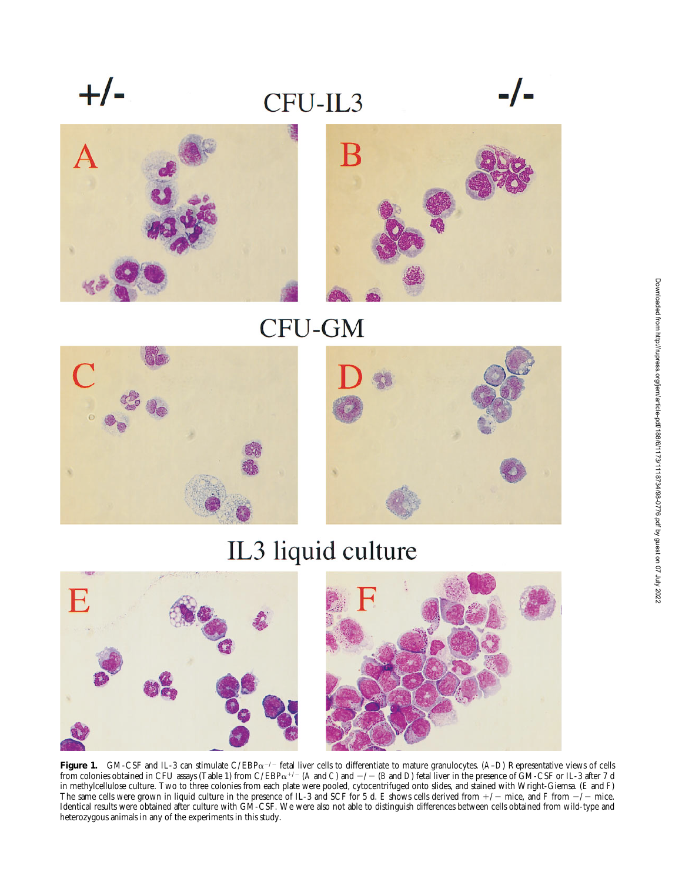$+/-$ 

### CFU-IL3







CFU-GM



# IL3 liquid culture



**Figure 1.** GM-CSF and IL-3 can stimulate C/EBP $\alpha^{-/-}$  fetal liver cells to differentiate to mature granulocytes. (*A–D*) Representative views of cells from colonies obtained in CFU assays (Table 1) from C/EBP $\alpha^{+/-}$  (*A* and *C*) and  $-/-$  (*B* and *D*) fetal liver in the presence of GM-CSF or IL-3 after 7 d in methylcellulose culture. Two to three colonies from each plate were pooled, cytocentrifuged onto slides, and stained with Wright-Giemsa. (*E* and *F*) The same cells were grown in liquid culture in the presence of IL-3 and SCF for 5 d. *E* shows cells derived from  $+/-$  mice, and *F* from  $-/-$  mice. Identical results were obtained after culture with GM-CSF. We were also not able to distinguish differences between cells obtained from wild-type and heterozygous animals in any of the experiments in this study.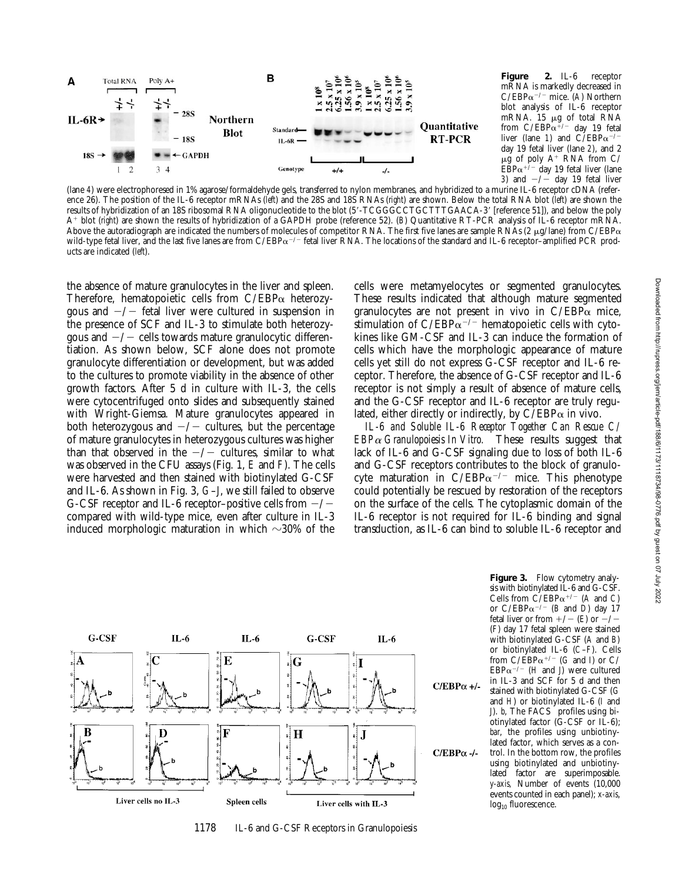

**Figure 2.** IL-6 receptor mRNA is markedly decreased in  $C/EBP\alpha^{-/-}$  mice. (A) Northern blot analysis of IL-6 receptor mRNA. 15 µg of total RNA from  $C/EBP\alpha^{1/2}$  day 19 fetal liver (lane 1) and  $C/EBP\alpha^{-/-}$ day 19 fetal liver (lane *2*), and 2  $\mu$ g of poly A<sup>+</sup> RNA from C/  $EBP\alpha^{+/-}$  day 19 fetal liver (lane 3) and  $-\sqrt{-}$  day 19 fetal liver

(lane *4*) were electrophoresed in 1% agarose/formaldehyde gels, transferred to nylon membranes, and hybridized to a murine IL-6 receptor cDNA (reference 26). The position of the IL-6 receptor mRNAs (*left*) and the 28S and 18S RNAs (*right*) are shown. Below the total RNA blot (*left*) are shown the results of hybridization of an 18S ribosomal RNA oligonucleotide to the blot (5'-TCGGGCCTGCTTTGAACA-3' [reference 51]), and below the poly A<sup>1</sup> blot (*right*) are shown the results of hybridization of a GAPDH probe (reference 52). (*B*) Quantitative RT-PCR analysis of IL-6 receptor mRNA. Above the autoradiograph are indicated the numbers of molecules of competitor RNA. The first five lanes are sample RNAs (2  $\mu$ g/lane) from C/EBP $\alpha$ wild-type fetal liver, and the last five lanes are from  $C/EBP\alpha^{-/-}$  fetal liver RNA. The locations of the standard and IL-6 receptor–amplified PCR products are indicated (*left*).

the absence of mature granulocytes in the liver and spleen. Therefore, hematopoietic cells from  $C/EBP\alpha$  heterozygous and  $-\prime$  fetal liver were cultured in suspension in the presence of SCF and IL-3 to stimulate both heterozygous and  $-\prime$  cells towards mature granulocytic differentiation. As shown below, SCF alone does not promote granulocyte differentiation or development, but was added to the cultures to promote viability in the absence of other growth factors. After 5 d in culture with IL-3, the cells were cytocentrifuged onto slides and subsequently stained with Wright-Giemsa. Mature granulocytes appeared in both heterozygous and  $-\prime$  cultures, but the percentage of mature granulocytes in heterozygous cultures was higher than that observed in the  $-\prime$  cultures, similar to what was observed in the CFU assays (Fig. 1, *E* and *F*). The cells were harvested and then stained with biotinylated G-CSF and IL-6. As shown in Fig. 3, *G*–*J*, we still failed to observe G-CSF receptor and IL-6 receptor–positive cells from  $-\prime$ compared with wild-type mice, even after culture in IL-3 induced morphologic maturation in which  $\sim$ 30% of the

cells were metamyelocytes or segmented granulocytes. These results indicated that although mature segmented granulocytes are not present in vivo in  $C/EBP\alpha$  mice, stimulation of C/EBP $\alpha$ <sup>-/-</sup> hematopoietic cells with cytokines like GM-CSF and IL-3 can induce the formation of cells which have the morphologic appearance of mature cells yet still do not express G-CSF receptor and IL-6 receptor. Therefore, the absence of G-CSF receptor and IL-6 receptor is not simply a result of absence of mature cells, and the G-CSF receptor and IL-6 receptor are truly regulated, either directly or indirectly, by  $C/EBP\alpha$  in vivo.

*IL-6 and Soluble IL-6 Receptor Together Can Rescue C/ EBP*a *Granulopoiesis In Vitro.* These results suggest that lack of IL-6 and G-CSF signaling due to loss of both IL-6 and G-CSF receptors contributes to the block of granulocyte maturation in C/EBP $\alpha$ <sup>-/-</sup> mice. This phenotype could potentially be rescued by restoration of the receptors on the surface of the cells. The cytoplasmic domain of the IL-6 receptor is not required for IL-6 binding and signal transduction, as IL-6 can bind to soluble IL-6 receptor and



1178 IL-6 and G-CSF Receptors in Granulopoiesis

**Figure 3.** Flow cytometry analysis with biotinylated IL-6 and G-CSF. Cells from  $\check{C}/EBP\alpha^{+/-}$  (A and C) or  $C/EBP\alpha^{-/-}$  (*B* and *D*) day 17 fetal liver or from  $+/-$  (*E*) or  $-/-$ (*F*) day 17 fetal spleen were stained with biotinylated G-CSF (*A* and *B*) or biotinylated IL-6 (*C*–*F*). Cells from  $C/\text{EBP}\alpha^{+/-}$  (*G* and *I*) or C/ EBP $\alpha$ <sup>-/-</sup> (*H* and *J*) were cultured in IL-3 and SCF for 5 d and then stained with biotinylated G-CSF (*G* and *H*) or biotinylated IL-6 (*I* and *J*). *b*, The FACS<sup>®</sup> profiles using biotinylated factor (G-CSF or IL-6); *bar*, the profiles using unbiotinylated factor, which serves as a control. In the bottom row, the profiles using biotinylated and unbiotinylated factor are superimposable. *y-axis,* Number of events (10,000 events counted in each panel); *x-axis*, log<sub>10</sub> fluorescence.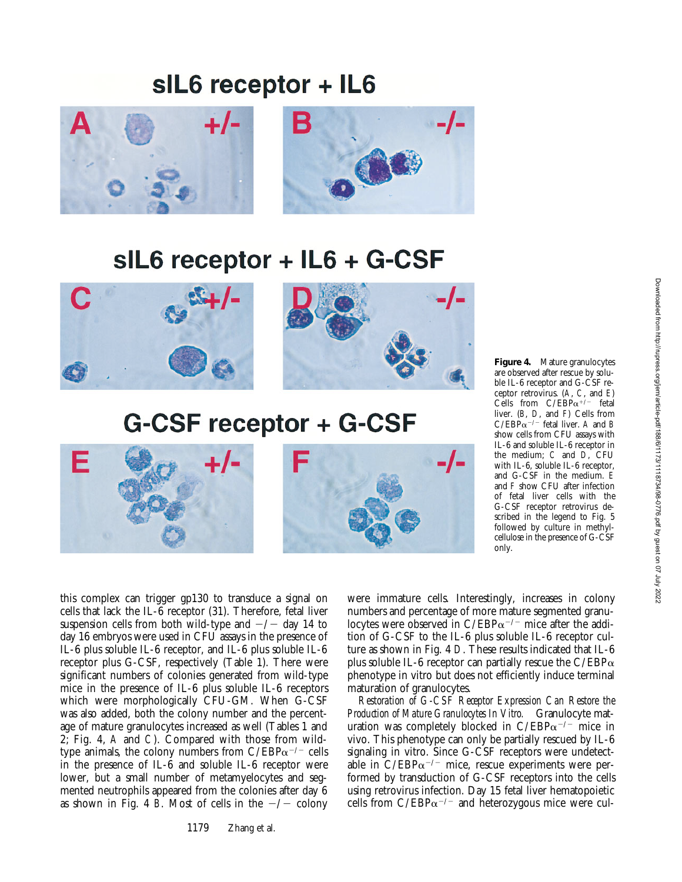### sIL6 receptor + IL6





# sIL6 receptor + IL6 + G-CSF



## G-CSF receptor + G-CSF



**Figure 4.** Mature granulocytes are observed after rescue by soluble IL-6 receptor and G-CSF receptor retrovirus. (*A*, *C*, and *E*) Cells from  $C/EBP\alpha^{+/-}$  fetal liver. (*B*, *D*, and *F*) Cells from  $C/EBP\alpha^{-/-}$  fetal liver. *A* and *B* show cells from CFU assays with IL-6 and soluble IL-6 receptor in the medium; *C* and *D*, CFU with IL-6, soluble IL-6 receptor, and G-CSF in the medium. *E* and *F* show CFU after infection of fetal liver cells with the G-CSF receptor retrovirus described in the legend to Fig. 5 followed by culture in methylcellulose in the presence of G-CSF only.

this complex can trigger gp130 to transduce a signal on cells that lack the IL-6 receptor (31). Therefore, fetal liver suspension cells from both wild-type and  $-\prime$  day 14 to day 16 embryos were used in CFU assays in the presence of IL-6 plus soluble IL-6 receptor, and IL-6 plus soluble IL-6 receptor plus G-CSF, respectively (Table 1). There were significant numbers of colonies generated from wild-type mice in the presence of IL-6 plus soluble IL-6 receptors which were morphologically CFU-GM. When G-CSF was also added, both the colony number and the percentage of mature granulocytes increased as well (Tables 1 and 2; Fig. 4, *A* and *C*). Compared with those from wildtype animals, the colony numbers from  $C/EBP\alpha^{-/-}$  cells in the presence of IL-6 and soluble IL-6 receptor were lower, but a small number of metamyelocytes and segmented neutrophils appeared from the colonies after day 6 as shown in Fig. 4 *B*. Most of cells in the  $-\prime$  colony

1179 Zhang et al.

were immature cells. Interestingly, increases in colony numbers and percentage of more mature segmented granulocytes were observed in C/EBP $\alpha$ <sup>-/-</sup> mice after the addition of G-CSF to the IL-6 plus soluble IL-6 receptor culture as shown in Fig. 4 *D*. These results indicated that IL-6 plus soluble IL-6 receptor can partially rescue the  $C/EBP\alpha$ phenotype in vitro but does not efficiently induce terminal maturation of granulocytes.

*Restoration of G-CSF Receptor Expression Can Restore the Production of Mature Granulocytes In Vitro.* Granulocyte maturation was completely blocked in  $C/EBP\alpha^{-/-}$  mice in vivo. This phenotype can only be partially rescued by IL-6 signaling in vitro. Since G-CSF receptors were undetectable in  $C/EBP\alpha^{-/-}$  mice, rescue experiments were performed by transduction of G-CSF receptors into the cells using retrovirus infection. Day 15 fetal liver hematopoietic cells from  $C/EBP\alpha^{-/-}$  and heterozygous mice were cul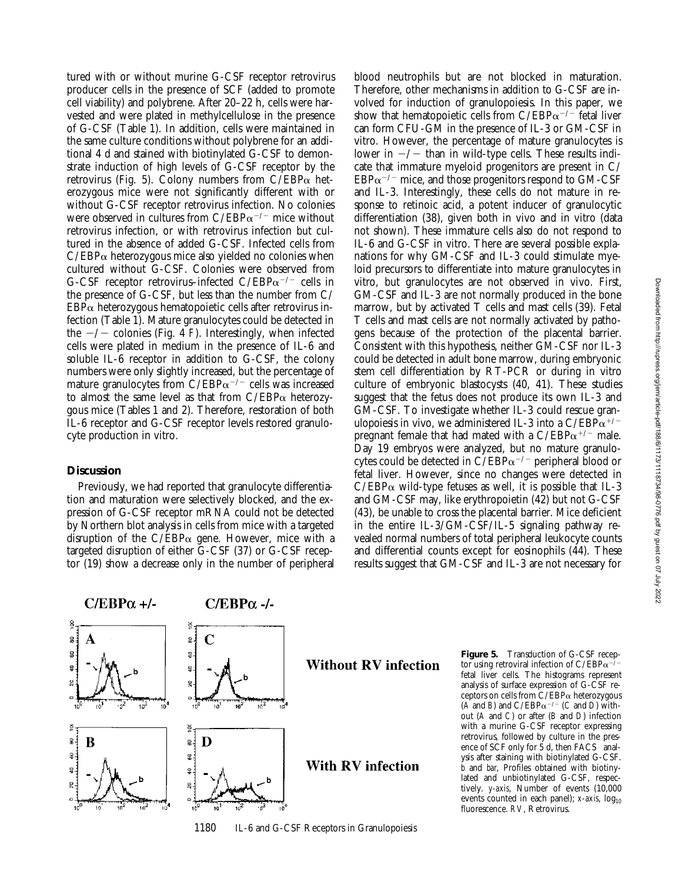tured with or without murine G-CSF receptor retrovirus producer cells in the presence of SCF (added to promote cell viability) and polybrene. After 20–22 h, cells were harvested and were plated in methylcellulose in the presence of G-CSF (Table 1). In addition, cells were maintained in the same culture conditions without polybrene for an additional 4 d and stained with biotinylated G-CSF to demonstrate induction of high levels of G-CSF receptor by the retrovirus (Fig. 5). Colony numbers from  $C/EBP\alpha$  heterozygous mice were not significantly different with or without G-CSF receptor retrovirus infection. No colonies were observed in cultures from  $C/EBP\alpha^{-/-}$  mice without retrovirus infection, or with retrovirus infection but cultured in the absence of added G-CSF. Infected cells from  $C/EBP\alpha$  heterozygous mice also yielded no colonies when cultured without G-CSF. Colonies were observed from G-CSF receptor retrovirus–infected C/EBP $\alpha$ <sup>-/-</sup> cells in the presence of G-CSF, but less than the number from C/  $EBP\alpha$  heterozygous hematopoietic cells after retrovirus infection (Table 1). Mature granulocytes could be detected in the  $-\prime$  colonies (Fig. 4 *F*). Interestingly, when infected cells were plated in medium in the presence of IL-6 and soluble IL-6 receptor in addition to G-CSF, the colony numbers were only slightly increased, but the percentage of mature granulocytes from  $C/EBP\alpha^{-/-}$  cells was increased to almost the same level as that from C/EBP $\alpha$  heterozygous mice (Tables 1 and 2). Therefore, restoration of both IL-6 receptor and G-CSF receptor levels restored granulocyte production in vitro.

### **Discussion**

Previously, we had reported that granulocyte differentiation and maturation were selectively blocked, and the expression of G-CSF receptor mRNA could not be detected by Northern blot analysis in cells from mice with a targeted disruption of the  $C/EBP\alpha$  gene. However, mice with a targeted disruption of either G-CSF (37) or G-CSF receptor (19) show a decrease only in the number of peripheral

blood neutrophils but are not blocked in maturation. Therefore, other mechanisms in addition to G-CSF are involved for induction of granulopoiesis. In this paper, we show that hematopoietic cells from  $C/EBP\alpha^{-/-}$  fetal liver can form CFU-GM in the presence of IL-3 or GM-CSF in vitro. However, the percentage of mature granulocytes is lower in  $-\prime$  than in wild-type cells. These results indicate that immature myeloid progenitors are present in C/  $EBP\alpha^{-/-}$  mice, and those progenitors respond to GM-CSF and IL-3. Interestingly, these cells do not mature in response to retinoic acid, a potent inducer of granulocytic differentiation (38), given both in vivo and in vitro (data not shown). These immature cells also do not respond to IL-6 and G-CSF in vitro. There are several possible explanations for why GM-CSF and IL-3 could stimulate myeloid precursors to differentiate into mature granulocytes in vitro, but granulocytes are not observed in vivo. First, GM-CSF and IL-3 are not normally produced in the bone marrow, but by activated T cells and mast cells (39). Fetal T cells and mast cells are not normally activated by pathogens because of the protection of the placental barrier. Consistent with this hypothesis, neither GM-CSF nor IL-3 could be detected in adult bone marrow, during embryonic stem cell differentiation by RT-PCR or during in vitro culture of embryonic blastocysts (40, 41). These studies suggest that the fetus does not produce its own IL-3 and GM-CSF. To investigate whether IL-3 could rescue granulopoiesis in vivo, we administered IL-3 into a C/EBP $\alpha^{+/-}$ pregnant female that had mated with a  $C/EBP\alpha^{+/-}$  male. Day 19 embryos were analyzed, but no mature granulocytes could be detected in  $C/EBP\alpha^{-/-}$  peripheral blood or fetal liver. However, since no changes were detected in  $C/EBP\alpha$  wild-type fetuses as well, it is possible that IL-3 and GM-CSF may, like erythropoietin (42) but not G-CSF (43), be unable to cross the placental barrier. Mice deficient in the entire IL-3/GM-CSF/IL-5 signaling pathway revealed normal numbers of total peripheral leukocyte counts and differential counts except for eosinophils (44). These results suggest that GM-CSF and IL-3 are not necessary for



**Figure 5.** Transduction of G-CSF receptor using retroviral infection of  $C/EBP\alpha$ <sup>-</sup> fetal liver cells. The histograms represent analysis of surface expression of G-CSF receptors on cells from  $C/EBP\alpha$  heterozygous  $(A \text{ and } B)$  and  $C/EBP\alpha^{-/-}$  (*C* and *D*) without (*A* and *C*) or after (*B* and *D*) infection with a murine G-CSF receptor expressing retrovirus, followed by culture in the presence of SCF only for  $\frac{1}{2}$  d, then FACS<sup>®</sup> analysis after staining with biotinylated G-CSF. *b* and *bar*, Profiles obtained with biotinylated and unbiotinylated G-CSF, respectively. *y-axis*, Number of events (10,000 events counted in each panel);  $x$ -axis,  $log_{10}$ fluorescence. *RV*, Retrovirus.

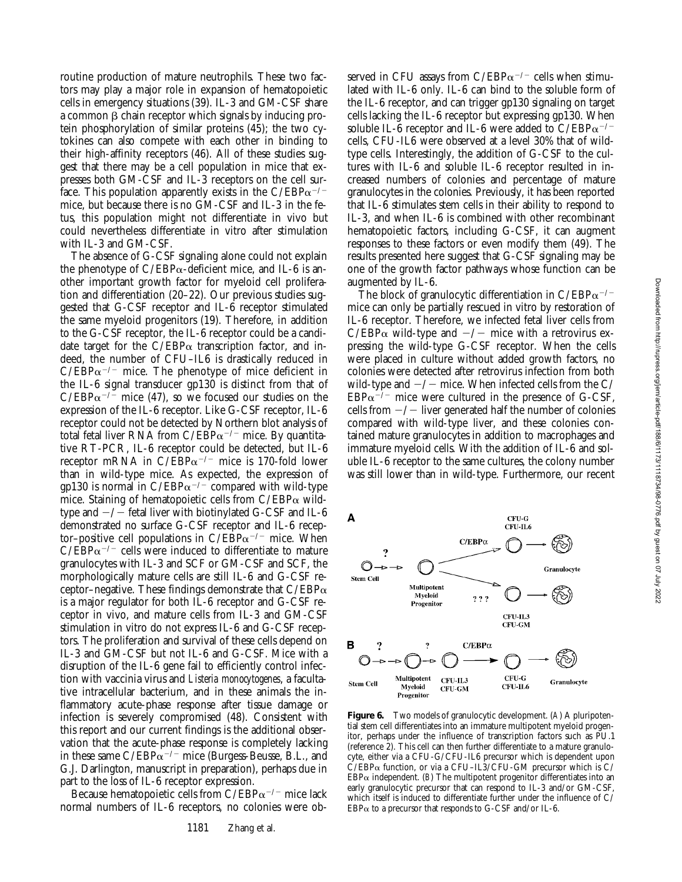routine production of mature neutrophils. These two factors may play a major role in expansion of hematopoietic cells in emergency situations (39). IL-3 and GM-CSF share a common  $\beta$  chain receptor which signals by inducing protein phosphorylation of similar proteins (45); the two cytokines can also compete with each other in binding to their high-affinity receptors (46). All of these studies suggest that there may be a cell population in mice that expresses both GM-CSF and IL-3 receptors on the cell surface. This population apparently exists in the  $C/EBP\alpha^{-/-}$ mice, but because there is no GM-CSF and IL-3 in the fetus, this population might not differentiate in vivo but could nevertheless differentiate in vitro after stimulation with IL-3 and GM-CSF.

The absence of G-CSF signaling alone could not explain the phenotype of  $C/EBP\alpha$ -deficient mice, and IL-6 is another important growth factor for myeloid cell proliferation and differentiation (20–22). Our previous studies suggested that G-CSF receptor and IL-6 receptor stimulated the same myeloid progenitors (19). Therefore, in addition to the G-CSF receptor, the IL-6 receptor could be a candidate target for the  $C/EBP\alpha$  transcription factor, and indeed, the number of CFU–IL6 is drastically reduced in  $C/EBP\alpha^{-/-}$  mice. The phenotype of mice deficient in the IL-6 signal transducer gp130 is distinct from that of  $C/EBP\alpha^{-1}$  mice (47), so we focused our studies on the expression of the IL-6 receptor. Like G-CSF receptor, IL-6 receptor could not be detected by Northern blot analysis of total fetal liver RNA from C/EBP $\alpha$ <sup>-/-</sup> mice. By quantitative RT-PCR, IL-6 receptor could be detected, but IL-6 receptor mRNA in  $C/EBP\alpha^{-/-}$  mice is 170-fold lower than in wild-type mice. As expected, the expression of gp130 is normal in  $C/EBP\alpha^{-/-}$  compared with wild-type mice. Staining of hematopoietic cells from  $C/EBP\alpha$  wildtype and  $-\prime$  fetal liver with biotinylated G-CSF and IL-6 demonstrated no surface G-CSF receptor and IL-6 receptor–positive cell populations in  $C/EBP\alpha^{-/-}$  mice. When  $C/EBP\alpha^{-/-}$  cells were induced to differentiate to mature granulocytes with IL-3 and SCF or GM-CSF and SCF, the morphologically mature cells are still IL-6 and G-CSF receptor–negative. These findings demonstrate that  $C/EBP\alpha$ is a major regulator for both IL-6 receptor and G-CSF receptor in vivo, and mature cells from IL-3 and GM-CSF stimulation in vitro do not express IL-6 and G-CSF receptors. The proliferation and survival of these cells depend on IL-3 and GM-CSF but not IL-6 and G-CSF. Mice with a disruption of the IL-6 gene fail to efficiently control infection with vaccinia virus and *Listeria monocytogenes*, a facultative intracellular bacterium, and in these animals the inflammatory acute-phase response after tissue damage or infection is severely compromised (48). Consistent with this report and our current findings is the additional observation that the acute-phase response is completely lacking in these same  $C/EBP\alpha^{-/-}$  mice (Burgess-Beusse, B.L., and G.J. Darlington, manuscript in preparation), perhaps due in part to the loss of IL-6 receptor expression.

Because hematopoietic cells from  $C/EBP\alpha^{-/-}$  mice lack normal numbers of IL-6 receptors, no colonies were observed in CFU assays from C/EBP $\alpha$ <sup>-/-</sup> cells when stimulated with IL-6 only. IL-6 can bind to the soluble form of the IL-6 receptor, and can trigger gp130 signaling on target cells lacking the IL-6 receptor but expressing gp130. When soluble IL-6 receptor and IL-6 were added to  $C/EBP\alpha^{-/-}$ cells, CFU-IL6 were observed at a level 30% that of wildtype cells. Interestingly, the addition of G-CSF to the cultures with IL-6 and soluble IL-6 receptor resulted in increased numbers of colonies and percentage of mature granulocytes in the colonies. Previously, it has been reported that IL-6 stimulates stem cells in their ability to respond to IL-3, and when IL-6 is combined with other recombinant hematopoietic factors, including G-CSF, it can augment responses to these factors or even modify them (49). The results presented here suggest that G-CSF signaling may be one of the growth factor pathways whose function can be augmented by IL-6.

The block of granulocytic differentiation in  $C/EBP\alpha^{-/-}$ mice can only be partially rescued in vitro by restoration of IL-6 receptor. Therefore, we infected fetal liver cells from  $C/EBP\alpha$  wild-type and  $-/-$  mice with a retrovirus expressing the wild-type G-CSF receptor. When the cells were placed in culture without added growth factors, no colonies were detected after retrovirus infection from both wild-type and  $-\prime$  mice. When infected cells from the C/  $EBP\alpha^{-7}$  mice were cultured in the presence of G-CSF, cells from  $-\prime$  liver generated half the number of colonies compared with wild-type liver, and these colonies contained mature granulocytes in addition to macrophages and immature myeloid cells. With the addition of IL-6 and soluble IL-6 receptor to the same cultures, the colony number was still lower than in wild-type. Furthermore, our recent



**Figure 6.** Two models of granulocytic development. (*A*) A pluripotential stem cell differentiates into an immature multipotent myeloid progenitor, perhaps under the influence of transcription factors such as PU.1 (reference 2). This cell can then further differentiate to a mature granulocyte, either via a CFU-G/CFU-IL6 precursor which is dependent upon  $\text{C/EBP}\alpha$  function, or via a CFU–IL3/CFU-GM precursor which is C/  $EBP\alpha$  independent. (*B*) The multipotent progenitor differentiates into an early granulocytic precursor that can respond to IL-3 and/or GM-CSF, which itself is induced to differentiate further under the influence of C/  $EBP\alpha$  to a precursor that responds to G-CSF and/or IL-6.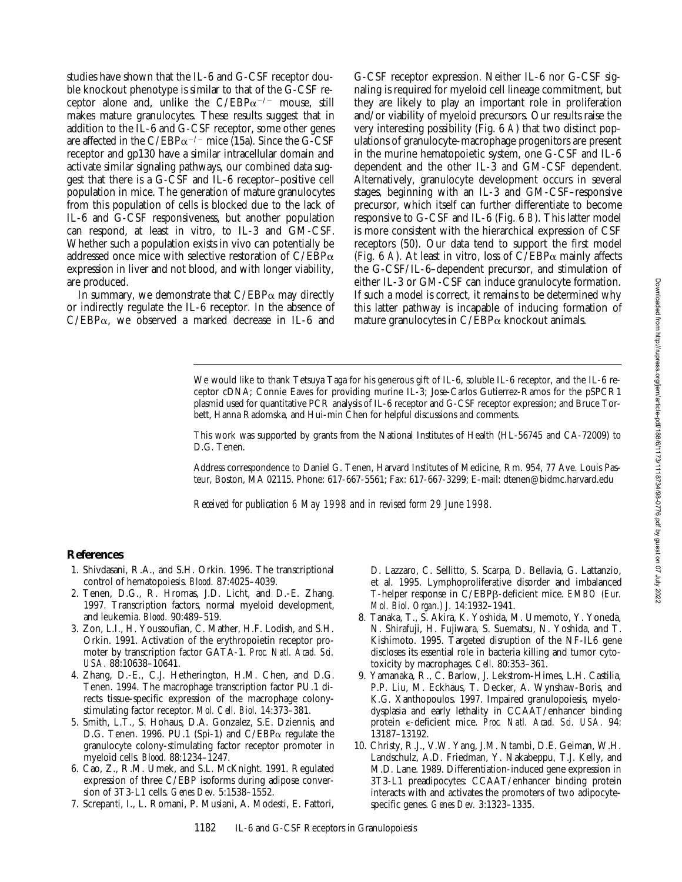Downloaded from http://tupress.org/jem/article-pdf/188/6/1173/1118734/98-0776.pdf by guest on 07 July 2022 Downloaded from http://rupress.org/jem/article-pdf/188/6/1173/1118734/98-0776.pdf by guest on 07 July 2022

studies have shown that the IL-6 and G-CSF receptor double knockout phenotype is similar to that of the G-CSF receptor alone and, unlike the  $C/EBP\alpha^{-/-}$  mouse, still makes mature granulocytes. These results suggest that in addition to the IL-6 and G-CSF receptor, some other genes are affected in the  $C/EBP\alpha^{-/-}$  mice (15a). Since the G-CSF receptor and gp130 have a similar intracellular domain and activate similar signaling pathways, our combined data suggest that there is a G-CSF and IL-6 receptor–positive cell population in mice. The generation of mature granulocytes from this population of cells is blocked due to the lack of IL-6 and G-CSF responsiveness, but another population can respond, at least in vitro, to IL-3 and GM-CSF. Whether such a population exists in vivo can potentially be addressed once mice with selective restoration of C/EBP $\alpha$ expression in liver and not blood, and with longer viability, are produced.

In summary, we demonstrate that  $C/EBP\alpha$  may directly or indirectly regulate the IL-6 receptor. In the absence of  $C/EBP\alpha$ , we observed a marked decrease in IL-6 and

G-CSF receptor expression. Neither IL-6 nor G-CSF signaling is required for myeloid cell lineage commitment, but they are likely to play an important role in proliferation and/or viability of myeloid precursors. Our results raise the very interesting possibility (Fig. 6 *A*) that two distinct populations of granulocyte-macrophage progenitors are present in the murine hematopoietic system, one G-CSF and IL-6 dependent and the other IL-3 and GM-CSF dependent. Alternatively, granulocyte development occurs in several stages, beginning with an IL-3 and GM-CSF–responsive precursor, which itself can further differentiate to become responsive to G-CSF and IL-6 (Fig. 6 *B*). This latter model is more consistent with the hierarchical expression of CSF receptors (50). Our data tend to support the first model (Fig.  $6$  A). At least in vitro, loss of  $C/EBP\alpha$  mainly affects the G-CSF/IL-6–dependent precursor, and stimulation of either IL-3 or GM-CSF can induce granulocyte formation. If such a model is correct, it remains to be determined why this latter pathway is incapable of inducing formation of mature granulocytes in  $C/EBP\alpha$  knockout animals.

We would like to thank Tetsuya Taga for his generous gift of IL-6, soluble IL-6 receptor, and the IL-6 receptor cDNA; Connie Eaves for providing murine IL-3; Jose-Carlos Gutierrez-Ramos for the pSPCR1 plasmid used for quantitative PCR analysis of IL-6 receptor and G-CSF receptor expression; and Bruce Torbett, Hanna Radomska, and Hui-min Chen for helpful discussions and comments.

This work was supported by grants from the National Institutes of Health (HL-56745 and CA-72009) to D.G. Tenen.

Address correspondence to Daniel G. Tenen, Harvard Institutes of Medicine, Rm. 954, 77 Ave. Louis Pasteur, Boston, MA 02115. Phone: 617-667-5561; Fax: 617-667-3299; E-mail: dtenen@bidmc.harvard.edu

*Received for publication 6 May 1998 and in revised form 29 June 1998.*

#### **References**

- 1. Shivdasani, R.A., and S.H. Orkin. 1996. The transcriptional control of hematopoiesis. *Blood.* 87:4025–4039.
- 2. Tenen, D.G., R. Hromas, J.D. Licht, and D.-E. Zhang. 1997. Transcription factors, normal myeloid development, and leukemia. *Blood.* 90:489–519.
- 3. Zon, L.I., H. Youssoufian, C. Mather, H.F. Lodish, and S.H. Orkin. 1991. Activation of the erythropoietin receptor promoter by transcription factor GATA-1. *Proc. Natl. Acad. Sci. USA.* 88:10638–10641.
- 4. Zhang, D.-E., C.J. Hetherington, H.M. Chen, and D.G. Tenen. 1994. The macrophage transcription factor PU.1 directs tissue-specific expression of the macrophage colonystimulating factor receptor. *Mol. Cell. Biol.* 14:373–381.
- 5. Smith, L.T., S. Hohaus, D.A. Gonzalez, S.E. Dziennis, and D.G. Tenen. 1996. PU.1 (Spi-1) and  $C/EBP\alpha$  regulate the granulocyte colony-stimulating factor receptor promoter in myeloid cells. *Blood.* 88:1234–1247.
- 6. Cao, Z., R.M. Umek, and S.L. McKnight. 1991. Regulated expression of three C/EBP isoforms during adipose conversion of 3T3-L1 cells. *Genes Dev.* 5:1538–1552.
- 7. Screpanti, I., L. Romani, P. Musiani, A. Modesti, E. Fattori,

D. Lazzaro, C. Sellitto, S. Scarpa, D. Bellavia, G. Lattanzio, et al. 1995. Lymphoproliferative disorder and imbalanced T-helper response in C/EBPb-deficient mice. *EMBO (Eur. Mol. Biol. Organ.) J.* 14:1932–1941.

- 8. Tanaka, T., S. Akira, K. Yoshida, M. Umemoto, Y. Yoneda, N. Shirafuji, H. Fujiwara, S. Suematsu, N. Yoshida, and T. Kishimoto. 1995. Targeted disruption of the NF-IL6 gene discloses its essential role in bacteria killing and tumor cytotoxicity by macrophages. *Cell.* 80:353–361.
- 9. Yamanaka, R., C. Barlow, J. Lekstrom-Himes, L.H. Castilia, P.P. Liu, M. Eckhaus, T. Decker, A. Wynshaw-Boris, and K.G. Xanthopoulos. 1997. Impaired granulopoiesis, myelodysplasia and early lethality in CCAAT/enhancer binding protein e-deficient mice. *Proc. Natl. Acad. Sci. USA.* 94: 13187–13192.
- 10. Christy, R.J., V.W. Yang, J.M. Ntambi, D.E. Geiman, W.H. Landschulz, A.D. Friedman, Y. Nakabeppu, T.J. Kelly, and M.D. Lane. 1989. Differentiation-induced gene expression in 3T3-L1 preadipocytes: CCAAT/enhancer binding protein interacts with and activates the promoters of two adipocytespecific genes. *Genes Dev.* 3:1323–1335.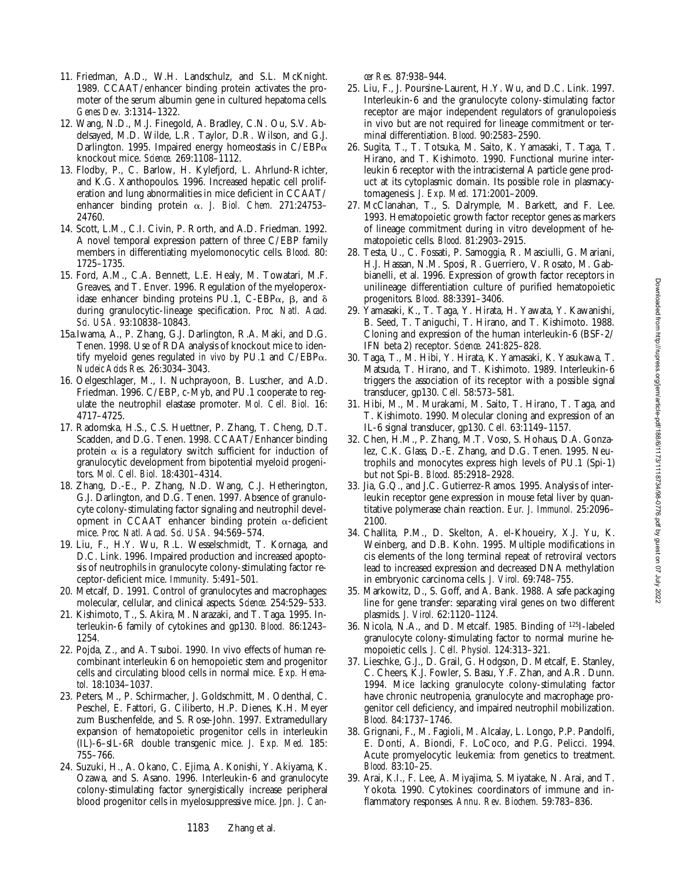- 11. Friedman, A.D., W.H. Landschulz, and S.L. McKnight. 1989. CCAAT/enhancer binding protein activates the promoter of the serum albumin gene in cultured hepatoma cells. *Genes Dev.* 3:1314–1322.
- 12. Wang, N.D., M.J. Finegold, A. Bradley, C.N. Ou, S.V. Abdelsayed, M.D. Wilde, L.R. Taylor, D.R. Wilson, and G.J. Darlington. 1995. Impaired energy homeostasis in  $C/EBP\alpha$ knockout mice. *Science.* 269:1108–1112.
- 13. Flodby, P., C. Barlow, H. Kylefjord, L. Ahrlund-Richter, and K.G. Xanthopoulos. 1996. Increased hepatic cell proliferation and lung abnormalities in mice deficient in CCAAT/ enhancer binding protein a. *J. Biol. Chem.* 271:24753– 24760.
- 14. Scott, L.M., C.I. Civin, P. Rorth, and A.D. Friedman. 1992. A novel temporal expression pattern of three C/EBP family members in differentiating myelomonocytic cells. *Blood.* 80: 1725–1735.
- 15. Ford, A.M., C.A. Bennett, L.E. Healy, M. Towatari, M.F. Greaves, and T. Enver. 1996. Regulation of the myeloperoxidase enhancer binding proteins PU.1, C-EBP $\alpha$ ,  $\beta$ , and  $\delta$ during granulocytic-lineage specification. *Proc. Natl. Acad. Sci. USA.* 93:10838–10843.
- 15a.Iwama, A., P. Zhang, G.J. Darlington, R.A. Maki, and D.G. Tenen. 1998. Use of RDA analysis of knockout mice to identify myeloid genes regulated *in vivo* by PU.1 and C/EBPa. *Nucleic Acids Res.* 26:3034–3043.
- 16. Oelgeschlager, M., I. Nuchprayoon, B. Luscher, and A.D. Friedman. 1996. C/EBP, c-Myb, and PU.1 cooperate to regulate the neutrophil elastase promoter. *Mol. Cell. Biol.* 16: 4717–4725.
- 17. Radomska, H.S., C.S. Huettner, P. Zhang, T. Cheng, D.T. Scadden, and D.G. Tenen. 1998. CCAAT/Enhancer binding protein  $\alpha$  is a regulatory switch sufficient for induction of granulocytic development from bipotential myeloid progenitors. *Mol. Cell. Biol.* 18:4301–4314.
- 18. Zhang, D.-E., P. Zhang, N.D. Wang, C.J. Hetherington, G.J. Darlington, and D.G. Tenen. 1997. Absence of granulocyte colony-stimulating factor signaling and neutrophil development in CCAAT enhancer binding protein  $\alpha$ -deficient mice. *Proc. Natl. Acad. Sci. USA.* 94:569–574.
- 19. Liu, F., H.Y. Wu, R.L. Wesselschmidt, T. Kornaga, and D.C. Link. 1996. Impaired production and increased apoptosis of neutrophils in granulocyte colony-stimulating factor receptor-deficient mice. *Immunity.* 5:491–501.
- 20. Metcalf, D. 1991. Control of granulocytes and macrophages: molecular, cellular, and clinical aspects. *Science.* 254:529–533.
- 21. Kishimoto, T., S. Akira, M. Narazaki, and T. Taga. 1995. Interleukin-6 family of cytokines and gp130. *Blood.* 86:1243– 1254.
- 22. Pojda, Z., and A. Tsuboi. 1990. In vivo effects of human recombinant interleukin 6 on hemopoietic stem and progenitor cells and circulating blood cells in normal mice. *Exp. Hematol.* 18:1034–1037.
- 23. Peters, M., P. Schirmacher, J. Goldschmitt, M. Odenthal, C. Peschel, E. Fattori, G. Ciliberto, H.P. Dienes, K.H. Meyer zum Buschenfelde, and S. Rose-John. 1997. Extramedullary expansion of hematopoietic progenitor cells in interleukin (IL)-6–sIL-6R double transgenic mice. *J. Exp. Med.* 185: 755–766.
- 24. Suzuki, H., A. Okano, C. Ejima, A. Konishi, Y. Akiyama, K. Ozawa, and S. Asano. 1996. Interleukin-6 and granulocyte colony-stimulating factor synergistically increase peripheral blood progenitor cells in myelosuppressive mice. *Jpn. J. Can-*

*cer Res.* 87:938–944.

- 25. Liu, F., J. Poursine-Laurent, H.Y. Wu, and D.C. Link. 1997. Interleukin-6 and the granulocyte colony-stimulating factor receptor are major independent regulators of granulopoiesis in vivo but are not required for lineage commitment or terminal differentiation. *Blood.* 90:2583–2590.
- 26. Sugita, T., T. Totsuka, M. Saito, K. Yamasaki, T. Taga, T. Hirano, and T. Kishimoto. 1990. Functional murine interleukin 6 receptor with the intracisternal A particle gene product at its cytoplasmic domain. Its possible role in plasmacytomagenesis. *J. Exp. Med.* 171:2001–2009.
- 27. McClanahan, T., S. Dalrymple, M. Barkett, and F. Lee. 1993. Hematopoietic growth factor receptor genes as markers of lineage commitment during in vitro development of hematopoietic cells. *Blood.* 81:2903–2915.
- 28. Testa, U., C. Fossati, P. Samoggia, R. Masciulli, G. Mariani, H.J. Hassan, N.M. Sposi, R. Guerriero, V. Rosato, M. Gabbianelli, et al. 1996. Expression of growth factor receptors in unilineage differentiation culture of purified hematopoietic progenitors. *Blood.* 88:3391–3406.
- 29. Yamasaki, K., T. Taga, Y. Hirata, H. Yawata, Y. Kawanishi, B. Seed, T. Taniguchi, T. Hirano, and T. Kishimoto. 1988. Cloning and expression of the human interleukin-6 (BSF-2/ IFN beta 2) receptor. *Science.* 241:825–828.
- 30. Taga, T., M. Hibi, Y. Hirata, K. Yamasaki, K. Yasukawa, T. Matsuda, T. Hirano, and T. Kishimoto. 1989. Interleukin-6 triggers the association of its receptor with a possible signal transducer, gp130. *Cell.* 58:573–581.
- 31. Hibi, M., M. Murakami, M. Saito, T. Hirano, T. Taga, and T. Kishimoto. 1990. Molecular cloning and expression of an IL-6 signal transducer, gp130. *Cell.* 63:1149–1157.
- 32. Chen, H.M., P. Zhang, M.T. Voso, S. Hohaus, D.A. Gonzalez, C.K. Glass, D.-E. Zhang, and D.G. Tenen. 1995. Neutrophils and monocytes express high levels of PU.1 (Spi-1) but not Spi-B. *Blood.* 85:2918–2928.
- 33. Jia, G.Q., and J.C. Gutierrez-Ramos. 1995. Analysis of interleukin receptor gene expression in mouse fetal liver by quantitative polymerase chain reaction. *Eur. J. Immunol.* 25:2096– 2100.
- 34. Challita, P.M., D. Skelton, A. el-Khoueiry, X.J. Yu, K. Weinberg, and D.B. Kohn. 1995. Multiple modifications in cis elements of the long terminal repeat of retroviral vectors lead to increased expression and decreased DNA methylation in embryonic carcinoma cells. *J. Virol.* 69:748–755.
- 35. Markowitz, D., S. Goff, and A. Bank. 1988. A safe packaging line for gene transfer: separating viral genes on two different plasmids. *J. Virol.* 62:1120–1124.
- 36. Nicola, N.A., and D. Metcalf. 1985. Binding of 125I-labeled granulocyte colony-stimulating factor to normal murine hemopoietic cells. *J. Cell. Physiol.* 124:313–321.
- 37. Lieschke, G.J., D. Grail, G. Hodgson, D. Metcalf, E. Stanley, C. Cheers, K.J. Fowler, S. Basu, Y.F. Zhan, and A.R. Dunn. 1994. Mice lacking granulocyte colony-stimulating factor have chronic neutropenia, granulocyte and macrophage progenitor cell deficiency, and impaired neutrophil mobilization. *Blood.* 84:1737–1746.
- 38. Grignani, F., M. Fagioli, M. Alcalay, L. Longo, P.P. Pandolfi, E. Donti, A. Biondi, F. LoCoco, and P.G. Pelicci. 1994. Acute promyelocytic leukemia: from genetics to treatment. *Blood.* 83:10–25.
- 39. Arai, K.I., F. Lee, A. Miyajima, S. Miyatake, N. Arai, and T. Yokota. 1990. Cytokines: coordinators of immune and inflammatory responses. *Annu. Rev. Biochem.* 59:783–836.